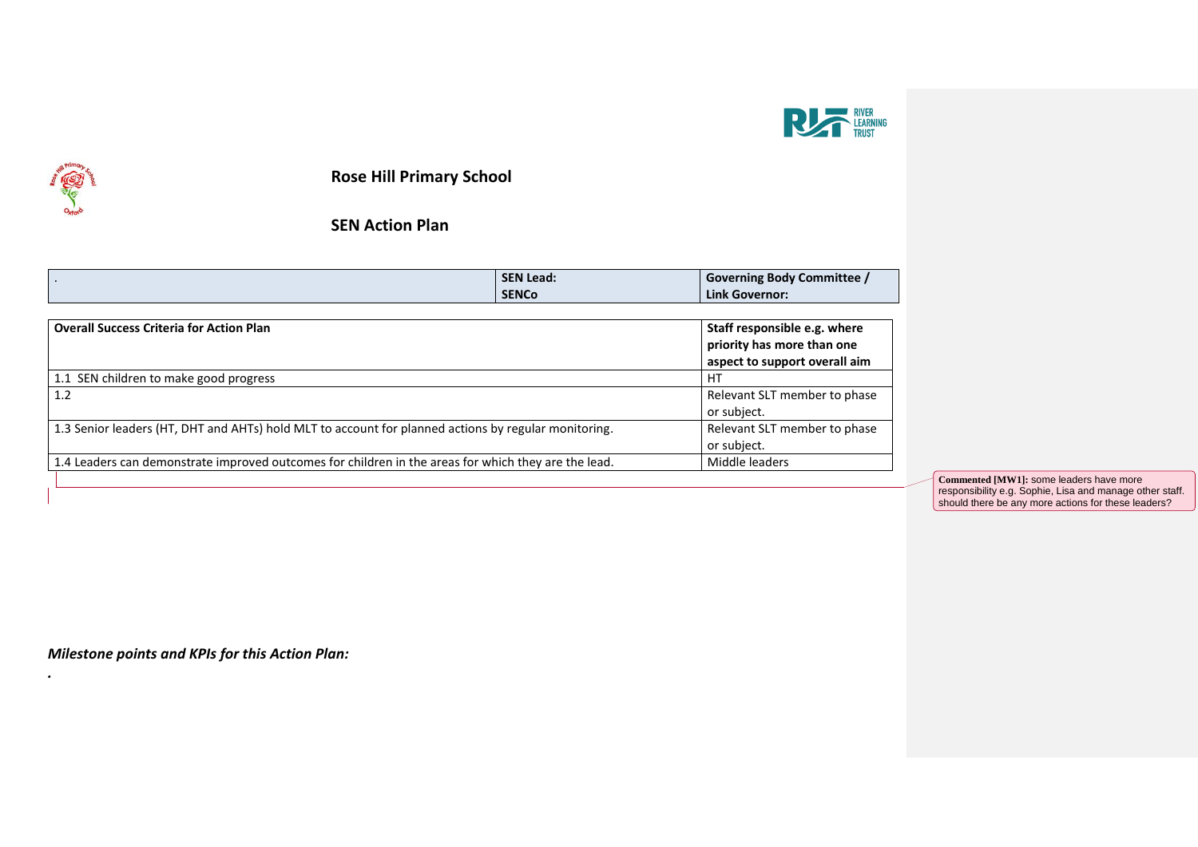



*.*

**Rose Hill Primary School**

**SEN Action Plan**

| <b>SEN Lead:</b>                                                                                     | <b>Governing Body Committee /</b> |
|------------------------------------------------------------------------------------------------------|-----------------------------------|
| <b>SENCO</b>                                                                                         | <b>Link Governor:</b>             |
|                                                                                                      |                                   |
|                                                                                                      | Staff responsible e.g. where      |
|                                                                                                      | priority has more than one        |
|                                                                                                      | aspect to support overall aim     |
|                                                                                                      | HT                                |
|                                                                                                      | Relevant SLT member to phase      |
|                                                                                                      | or subject.                       |
| 1.3 Senior leaders (HT, DHT and AHTs) hold MLT to account for planned actions by regular monitoring. |                                   |
|                                                                                                      | or subject.                       |
| 1.4 Leaders can demonstrate improved outcomes for children in the areas for which they are the lead. | Middle leaders                    |
|                                                                                                      |                                   |

**Commented [MW1]:** some leaders have more responsibility e.g. Sophie, Lisa and manage other staff. should there be any more actions for these leaders?

*Milestone points and KPIs for this Action Plan:*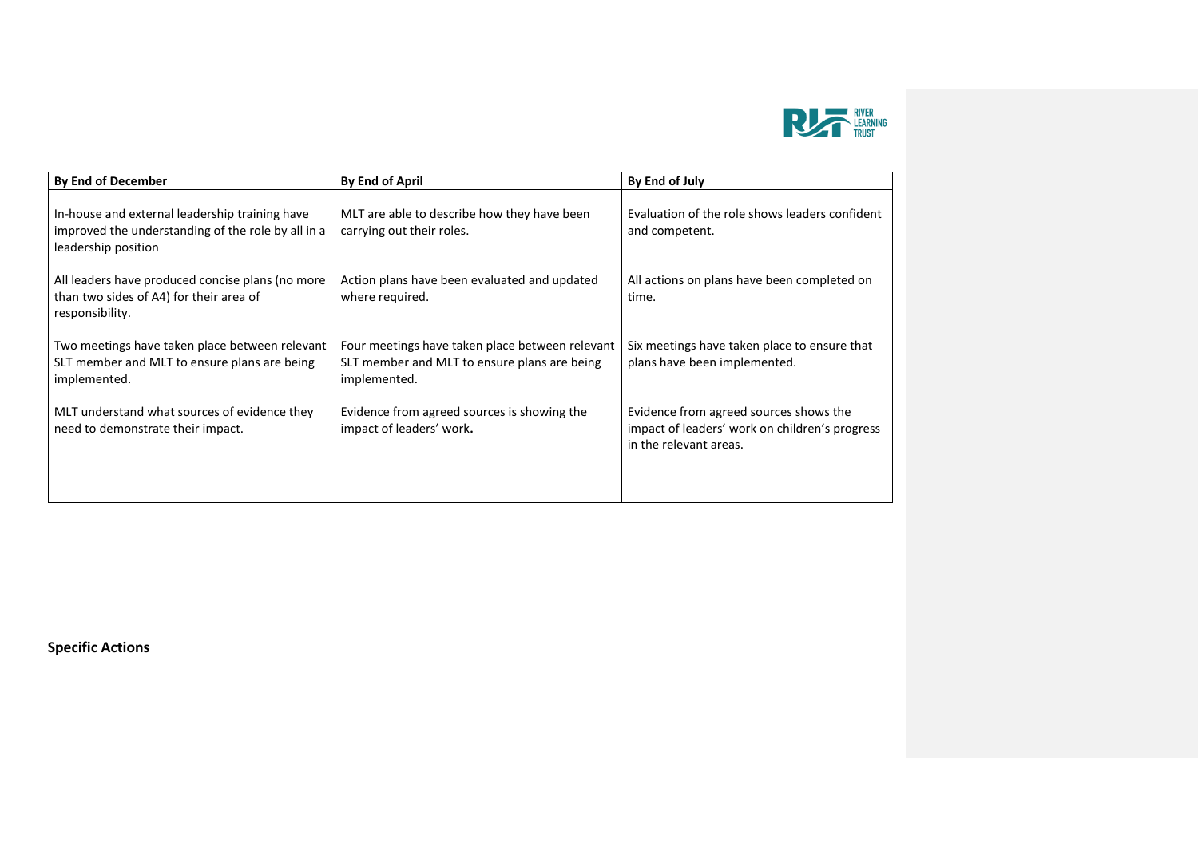

| By End of December                                                                                                          | <b>By End of April</b>                                                                                          | By End of July                                                                                                     |
|-----------------------------------------------------------------------------------------------------------------------------|-----------------------------------------------------------------------------------------------------------------|--------------------------------------------------------------------------------------------------------------------|
| In-house and external leadership training have<br>improved the understanding of the role by all in a<br>leadership position | MLT are able to describe how they have been<br>carrying out their roles.                                        | Evaluation of the role shows leaders confident<br>and competent.                                                   |
| All leaders have produced concise plans (no more<br>than two sides of A4) for their area of<br>responsibility.              | Action plans have been evaluated and updated<br>where required.                                                 | All actions on plans have been completed on<br>time.                                                               |
| Two meetings have taken place between relevant<br>SLT member and MLT to ensure plans are being<br>implemented.              | Four meetings have taken place between relevant<br>SLT member and MLT to ensure plans are being<br>implemented. | Six meetings have taken place to ensure that<br>plans have been implemented.                                       |
| MLT understand what sources of evidence they<br>need to demonstrate their impact.                                           | Evidence from agreed sources is showing the<br>impact of leaders' work.                                         | Evidence from agreed sources shows the<br>impact of leaders' work on children's progress<br>in the relevant areas. |
|                                                                                                                             |                                                                                                                 |                                                                                                                    |

**Specific Actions**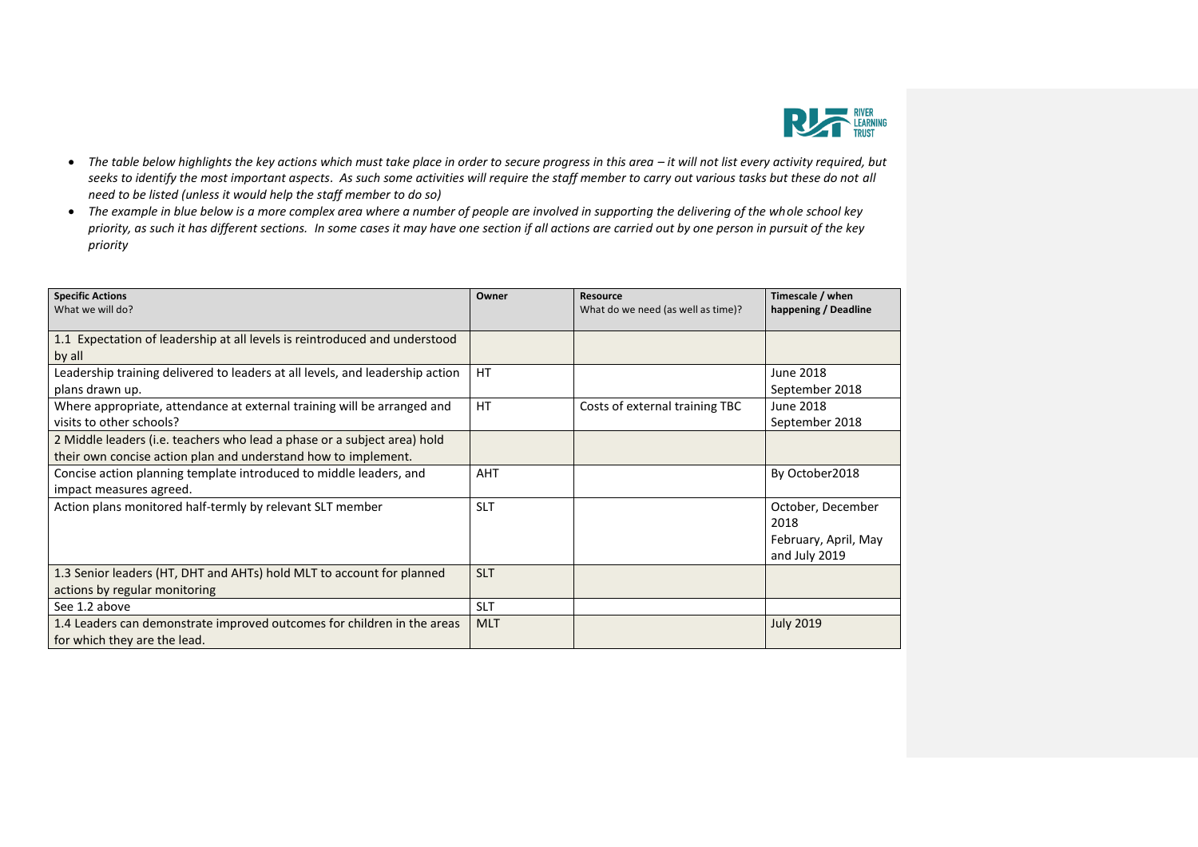

- The table below highlights the key actions which must take place in order to secure progress in this area it will not list every activity required, but *seeks to identify the most important aspects. As such some activities will require the staff member to carry out various tasks but these do not all need to be listed (unless it would help the staff member to do so)*
- *The example in blue below is a more complex area where a number of people are involved in supporting the delivering of the whole school key priority, as such it has different sections. In some cases it may have one section if all actions are carried out by one person in pursuit of the key priority*

| <b>Specific Actions</b>                                                       | Owner      | Resource                           | Timescale / when     |
|-------------------------------------------------------------------------------|------------|------------------------------------|----------------------|
| What we will do?                                                              |            | What do we need (as well as time)? | happening / Deadline |
|                                                                               |            |                                    |                      |
| 1.1 Expectation of leadership at all levels is reintroduced and understood    |            |                                    |                      |
| by all                                                                        |            |                                    |                      |
| Leadership training delivered to leaders at all levels, and leadership action | <b>HT</b>  |                                    | June 2018            |
| plans drawn up.                                                               |            |                                    | September 2018       |
| Where appropriate, attendance at external training will be arranged and       | <b>HT</b>  | Costs of external training TBC     | June 2018            |
| visits to other schools?                                                      |            |                                    | September 2018       |
| 2 Middle leaders (i.e. teachers who lead a phase or a subject area) hold      |            |                                    |                      |
| their own concise action plan and understand how to implement.                |            |                                    |                      |
| Concise action planning template introduced to middle leaders, and            | <b>AHT</b> |                                    | By October2018       |
| impact measures agreed.                                                       |            |                                    |                      |
| Action plans monitored half-termly by relevant SLT member                     | <b>SLT</b> |                                    | October, December    |
|                                                                               |            |                                    | 2018                 |
|                                                                               |            |                                    | February, April, May |
|                                                                               |            |                                    | and July 2019        |
| 1.3 Senior leaders (HT, DHT and AHTs) hold MLT to account for planned         | <b>SLT</b> |                                    |                      |
| actions by regular monitoring                                                 |            |                                    |                      |
| See 1.2 above                                                                 | <b>SLT</b> |                                    |                      |
| 1.4 Leaders can demonstrate improved outcomes for children in the areas       | <b>MLT</b> |                                    | <b>July 2019</b>     |
| for which they are the lead.                                                  |            |                                    |                      |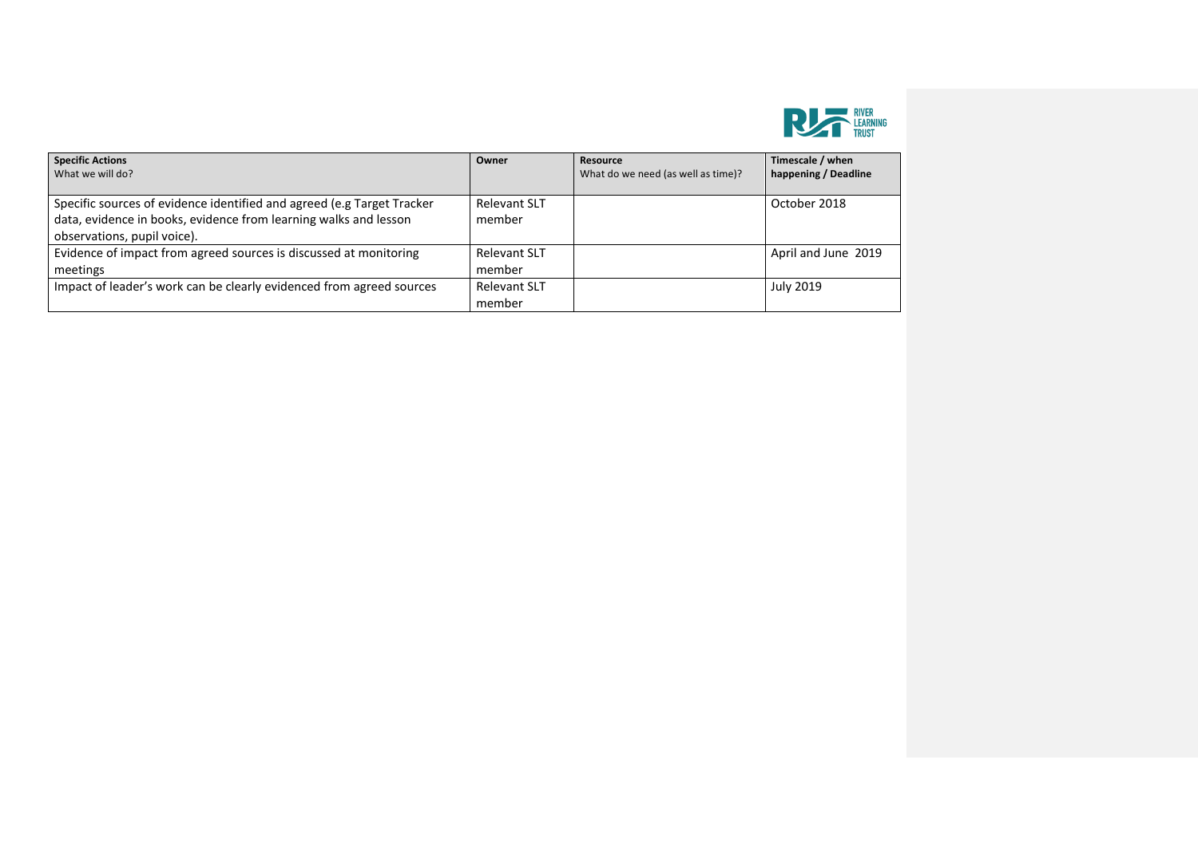

| <b>Specific Actions</b><br>What we will do?                                                                                                                               | Owner                         | Resource<br>What do we need (as well as time)? | Timescale / when<br>happening / Deadline |
|---------------------------------------------------------------------------------------------------------------------------------------------------------------------------|-------------------------------|------------------------------------------------|------------------------------------------|
| Specific sources of evidence identified and agreed (e.g Target Tracker<br>data, evidence in books, evidence from learning walks and lesson<br>observations, pupil voice). | <b>Relevant SLT</b><br>member |                                                | October 2018                             |
| Evidence of impact from agreed sources is discussed at monitoring<br>meetings                                                                                             | <b>Relevant SLT</b><br>member |                                                | April and June 2019                      |
| Impact of leader's work can be clearly evidenced from agreed sources                                                                                                      | <b>Relevant SLT</b><br>member |                                                | <b>July 2019</b>                         |